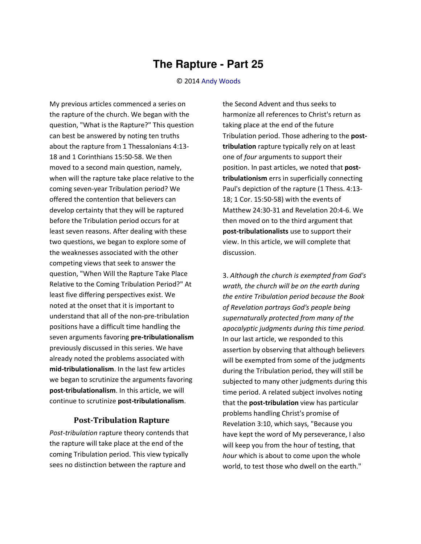## **The Rapture - Part 25**

## © 2014 [Andy Woods](http://www.spiritandtruth.org/id/aw.htm)

My previous articles commenced a series on the rapture of the church. We began with the question, "What is the Rapture?" This question can best be answered by noting ten truths about the rapture from 1 Thessalonians 4:13- 18 and 1 Corinthians 15:50-58. We then moved to a second main question, namely, when will the rapture take place relative to the coming seven-year Tribulation period? We offered the contention that believers can develop certainty that they will be raptured before the Tribulation period occurs for at least seven reasons. After dealing with these two questions, we began to explore some of the weaknesses associated with the other competing views that seek to answer the question, "When Will the Rapture Take Place Relative to the Coming Tribulation Period?" At least five differing perspectives exist. We noted at the onset that it is important to understand that all of the non-pre-tribulation positions have a difficult time handling the seven arguments favoring **pre-tribulationalism** previously discussed in this series. We have already noted the problems associated with **mid-tribulationalism**. In the last few articles we began to scrutinize the arguments favoring **post-tribulationalism**. In this article, we will continue to scrutinize **post-tribulationalism**.

## **Post-Tribulation Rapture**

*Post-tribulation* rapture theory contends that the rapture will take place at the end of the coming Tribulation period. This view typically sees no distinction between the rapture and

the Second Advent and thus seeks to harmonize all references to Christ's return as taking place at the end of the future Tribulation period. Those adhering to the **posttribulation** rapture typically rely on at least one of *four* arguments to support their position. In past articles, we noted that **posttribulationism** errs in superficially connecting Paul's depiction of the rapture (1 Thess. 4:13- 18; 1 Cor. 15:50-58) with the events of Matthew 24:30-31 and Revelation 20:4-6. We then moved on to the third argument that **post-tribulationalists** use to support their view. In this article, we will complete that discussion.

3. *Although the church is exempted from God's wrath, the church will be on the earth during the entire Tribulation period because the Book of Revelation portrays God's people being supernaturally protected from many of the apocalyptic judgments during this time period.* In our last article, we responded to this assertion by observing that although believers will be exempted from some of the judgments during the Tribulation period, they will still be subjected to many other judgments during this time period. A related subject involves noting that the **post-tribulation** view has particular problems handling Christ's promise of Revelation 3:10, which says, "Because you have kept the word of My perseverance, I also will keep you from the hour of testing, that *hour* which is about to come upon the whole world, to test those who dwell on the earth."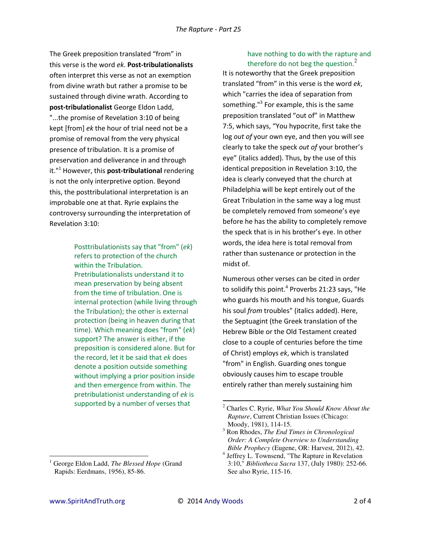The Greek preposition translated "from" in this verse is the word *ek*. **Post-tribulationalists** often interpret this verse as not an exemption from divine wrath but rather a promise to be sustained through divine wrath. According to **post-tribulationalist** George Eldon Ladd, "...the promise of Revelation 3:10 of being kept [from] *ek* the hour of trial need not be a promise of removal from the very physical presence of tribulation. It is a promise of preservation and deliverance in and through it."<sup>1</sup> However, this **post-tribulational** rendering is not the only interpretive option. Beyond this, the posttribulational interpretation is an improbable one at that. Ryrie explains the controversy surrounding the interpretation of Revelation 3:10:

> Posttribulationists say that "from" (*ek*) refers to protection of the church within the Tribulation. Pretribulationalists understand it to mean preservation by being absent from the time of tribulation. One is internal protection (while living through the Tribulation); the other is external protection (being in heaven during that time). Which meaning does "from" (*ek*) support? The answer is either, if the preposition is considered alone. But for the record, let it be said that *ek* does denote a position outside something without implying a prior position inside and then emergence from within. The pretribulationist understanding of *ek* is supported by a number of verses that

therefore do not beg the question. $^2$ It is noteworthy that the Greek preposition translated "from" in this verse is the word *ek*, which "carries the idea of separation from something."<sup>3</sup> For example, this is the same preposition translated "out of" in Matthew 7:5, which says, "You hypocrite, first take the log *out of* your own eye, and then you will see clearly to take the speck *out of* your brother's eye" (italics added). Thus, by the use of this identical preposition in Revelation 3:10, the idea is clearly conveyed that the church at Philadelphia will be kept entirely out of the Great Tribulation in the same way a log must be completely removed from someone's eye before he has the ability to completely remove

have nothing to do with the rapture and

the speck that is in his brother's eye. In other words, the idea here is total removal from rather than sustenance or protection in the midst of.

Numerous other verses can be cited in order to solidify this point. $^4$  Proverbs 21:23 says, "He who guards his mouth and his tongue, Guards his soul *from* troubles" (italics added). Here, the Septuagint (the Greek translation of the Hebrew Bible or the Old Testament created close to a couple of centuries before the time of Christ) employs *ek*, which is translated "from" in English. Guarding ones tongue obviously causes him to escape trouble entirely rather than merely sustaining him

 $\overline{\phantom{0}}$ 

 $\overline{a}$ 

<sup>2</sup> Charles C. Ryrie, *What You Should Know About the Rapture*, Current Christian Issues (Chicago: Moody, 1981), 114-15.

<sup>3</sup> Ron Rhodes, *The End Times in Chronological Order: A Complete Overview to Understanding Bible Prophecy* (Eugene, OR: Harvest, 2012), 42.

<sup>4</sup> Jeffrey L. Townsend, "The Rapture in Revelation 3:10," *Bibliotheca Sacra* 137, (July 1980): 252-66. See also Ryrie, 115-16.

<sup>1</sup> George Eldon Ladd, *The Blessed Hope* (Grand Rapids: Eerdmans, 1956), 85-86.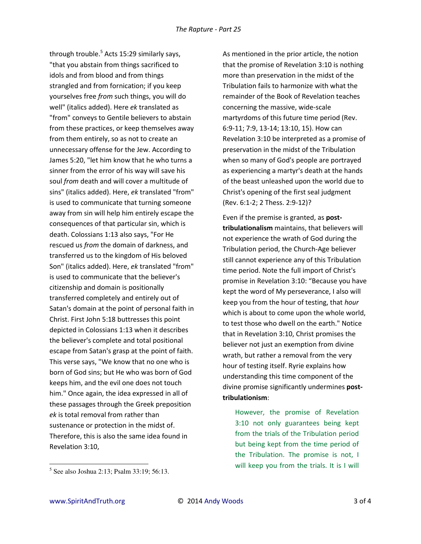through trouble.<sup>5</sup> Acts 15:29 similarly says, "that you abstain from things sacrificed to idols and from blood and from things strangled and from fornication; if you keep yourselves free *from* such things, you will do well" (italics added). Here *ek* translated as "from" conveys to Gentile believers to abstain from these practices, or keep themselves away from them entirely, so as not to create an unnecessary offense for the Jew. According to James 5:20, "let him know that he who turns a sinner from the error of his way will save his soul *from* death and will cover a multitude of sins" (italics added). Here, *ek* translated "from" is used to communicate that turning someone away from sin will help him entirely escape the consequences of that particular sin, which is death. Colossians 1:13 also says, "For He rescued us *from* the domain of darkness, and transferred us to the kingdom of His beloved Son" (italics added). Here, *ek* translated "from" is used to communicate that the believer's citizenship and domain is positionally transferred completely and entirely out of Satan's domain at the point of personal faith in Christ. First John 5:18 buttresses this point depicted in Colossians 1:13 when it describes the believer's complete and total positional escape from Satan's grasp at the point of faith. This verse says, "We know that no one who is born of God sins; but He who was born of God keeps him, and the evil one does not touch him." Once again, the idea expressed in all of these passages through the Greek preposition *ek* is total removal from rather than sustenance or protection in the midst of. Therefore, this is also the same idea found in Revelation 3:10,

As mentioned in the prior article, the notion that the promise of Revelation 3:10 is nothing more than preservation in the midst of the Tribulation fails to harmonize with what the remainder of the Book of Revelation teaches concerning the massive, wide-scale martyrdoms of this future time period (Rev. 6:9-11; 7:9, 13-14; 13:10, 15). How can Revelation 3:10 be interpreted as a promise of preservation in the midst of the Tribulation when so many of God's people are portrayed as experiencing a martyr's death at the hands of the beast unleashed upon the world due to Christ's opening of the first seal judgment (Rev. 6:1-2; 2 Thess. 2:9-12)?

Even if the premise is granted, as **posttribulationalism** maintains, that believers will not experience the wrath of God during the Tribulation period, the Church-Age believer still cannot experience any of this Tribulation time period. Note the full import of Christ's promise in Revelation 3:10: "Because you have kept the word of My perseverance, I also will keep you from the hour of testing, that *hour* which is about to come upon the whole world, to test those who dwell on the earth." Notice that in Revelation 3:10, Christ promises the believer not just an exemption from divine wrath, but rather a removal from the very hour of testing itself. Ryrie explains how understanding this time component of the divine promise significantly undermines **posttribulationism**:

However, the promise of Revelation 3:10 not only guarantees being kept from the trials of the Tribulation period but being kept from the time period of the Tribulation. The promise is not, I will keep you from the trials. It is I will

 $\overline{a}$ 

<sup>5</sup> See also Joshua 2:13; Psalm 33:19; 56:13.